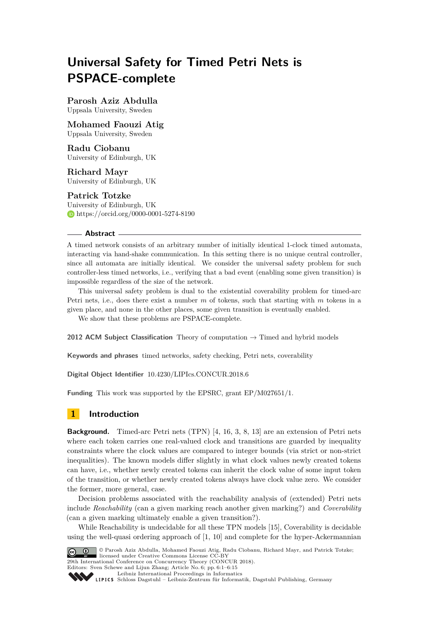# **Universal Safety for Timed Petri Nets is PSPACE-complete**

**Parosh Aziz Abdulla** Uppsala University, Sweden

**Mohamed Faouzi Atig** Uppsala University, Sweden

## **Radu Ciobanu**

University of Edinburgh, UK

**Richard Mayr** University of Edinburgh, UK

## **Patrick Totzke**

University of Edinburgh, UK <https://orcid.org/0000-0001-5274-8190>

### **Abstract**

A timed network consists of an arbitrary number of initially identical 1-clock timed automata, interacting via hand-shake communication. In this setting there is no unique central controller, since all automata are initially identical. We consider the universal safety problem for such controller-less timed networks, i.e., verifying that a bad event (enabling some given transition) is impossible regardless of the size of the network.

This universal safety problem is dual to the existential coverability problem for timed-arc Petri nets, i.e., does there exist a number *m* of tokens, such that starting with *m* tokens in a given place, and none in the other places, some given transition is eventually enabled.

We show that these problems are PSPACE-complete.

**2012 ACM Subject Classification** Theory of computation  $\rightarrow$  Timed and hybrid models

**Keywords and phrases** timed networks, safety checking, Petri nets, coverability

**Digital Object Identifier** [10.4230/LIPIcs.CONCUR.2018.6](http://dx.doi.org/10.4230/LIPIcs.CONCUR.2018.6)

**Funding** This work was supported by the EPSRC, grant EP/M027651/1.

# **1 Introduction**

**Background.** Timed-arc Petri nets (TPN) [\[4,](#page-13-0) [16,](#page-14-0) [3,](#page-13-1) [8,](#page-13-2) [13\]](#page-14-1) are an extension of Petri nets where each token carries one real-valued clock and transitions are guarded by inequality constraints where the clock values are compared to integer bounds (via strict or non-strict inequalities). The known models differ slightly in what clock values newly created tokens can have, i.e., whether newly created tokens can inherit the clock value of some input token of the transition, or whether newly created tokens always have clock value zero. We consider the former, more general, case.

Decision problems associated with the reachability analysis of (extended) Petri nets include *Reachability* (can a given marking reach another given marking?) and *Coverability* (can a given marking ultimately enable a given transition?).

While Reachability is undecidable for all these TPN models [\[15\]](#page-14-2), Coverability is decidable using the well-quasi ordering approach of [\[1,](#page-13-3) [10\]](#page-13-4) and complete for the hyper-Ackermannian



© Parosh Aziz Abdulla, Mohamed Faouzi Atig, Radu Ciobanu, Richard Mayr, and Patrick Totzke; **29th International Conference on Concurrency Theory (CONCUR 2018).** 

Editors: Sven Schewe and Lijun Zhang; Article No. 6; pp. 6:1–6[:15](#page-14-3) [Leibniz International Proceedings in Informatics](http://www.dagstuhl.de/lipics/)

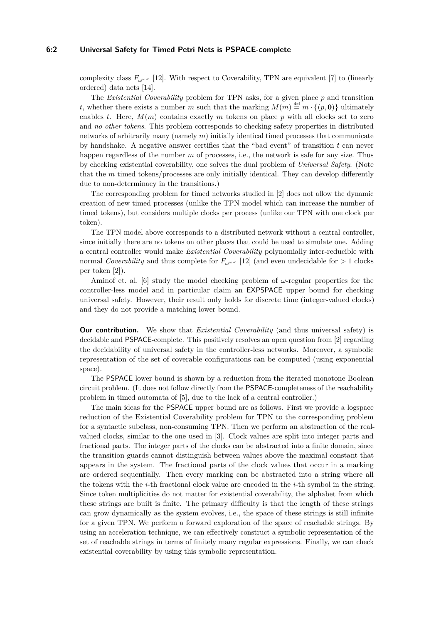#### **6:2 Universal Safety for Timed Petri Nets is PSPACE-complete**

complexity class  $F_{\mu\nu\mu}$  [\[12\]](#page-14-4). With respect to Coverability, TPN are equivalent [\[7\]](#page-13-5) to (linearly ordered) data nets [\[14\]](#page-14-5).

The *Existential Coverability* problem for TPN asks, for a given place *p* and transition *t*, whether there exists a number *m* such that the marking  $M(m) \stackrel{\text{def}}{=} m \cdot \{(p, 0)\}$  ultimately enables *t*. Here,  $M(m)$  contains exactly *m* tokens on place *p* with all clocks set to zero and *no other tokens*. This problem corresponds to checking safety properties in distributed networks of arbitrarily many (namely *m*) initially identical timed processes that communicate by handshake. A negative answer certifies that the "bad event" of transition *t* can never happen regardless of the number *m* of processes, i.e., the network is safe for any size. Thus by checking existential coverability, one solves the dual problem of *Universal Safety*. (Note that the *m* timed tokens/processes are only initially identical. They can develop differently due to non-determinacy in the transitions.)

The corresponding problem for timed networks studied in [\[2\]](#page-13-6) does not allow the dynamic creation of new timed processes (unlike the TPN model which can increase the number of timed tokens), but considers multiple clocks per process (unlike our TPN with one clock per token).

The TPN model above corresponds to a distributed network without a central controller, since initially there are no tokens on other places that could be used to simulate one. Adding a central controller would make *Existential Coverability* polynomially inter-reducible with normal *Coverability* and thus complete for  $F_{\omega^{\omega^{\omega}}}$  [\[12\]](#page-14-4) (and even undecidable for  $> 1$  clocks per token [\[2\]](#page-13-6)).

Aminof et. al. [\[6\]](#page-13-7) study the model checking problem of *ω*-regular properties for the controller-less model and in particular claim an EXPSPACE upper bound for checking universal safety. However, their result only holds for discrete time (integer-valued clocks) and they do not provide a matching lower bound.

**Our contribution.** We show that *Existential Coverability* (and thus universal safety) is decidable and PSPACE-complete. This positively resolves an open question from [\[2\]](#page-13-6) regarding the decidability of universal safety in the controller-less networks. Moreover, a symbolic representation of the set of coverable configurations can be computed (using exponential space).

The PSPACE lower bound is shown by a reduction from the iterated monotone Boolean circuit problem. (It does not follow directly from the PSPACE-completeness of the reachability problem in timed automata of [\[5\]](#page-13-8), due to the lack of a central controller.)

The main ideas for the PSPACE upper bound are as follows. First we provide a logspace reduction of the Existential Coverability problem for TPN to the corresponding problem for a syntactic subclass, non-consuming TPN. Then we perform an abstraction of the realvalued clocks, similar to the one used in [\[3\]](#page-13-1). Clock values are split into integer parts and fractional parts. The integer parts of the clocks can be abstracted into a finite domain, since the transition guards cannot distinguish between values above the maximal constant that appears in the system. The fractional parts of the clock values that occur in a marking are ordered sequentially. Then every marking can be abstracted into a string where all the tokens with the *i*-th fractional clock value are encoded in the *i*-th symbol in the string. Since token multiplicities do not matter for existential coverability, the alphabet from which these strings are built is finite. The primary difficulty is that the length of these strings can grow dynamically as the system evolves, i.e., the space of these strings is still infinite for a given TPN. We perform a forward exploration of the space of reachable strings. By using an acceleration technique, we can effectively construct a symbolic representation of the set of reachable strings in terms of finitely many regular expressions. Finally, we can check existential coverability by using this symbolic representation.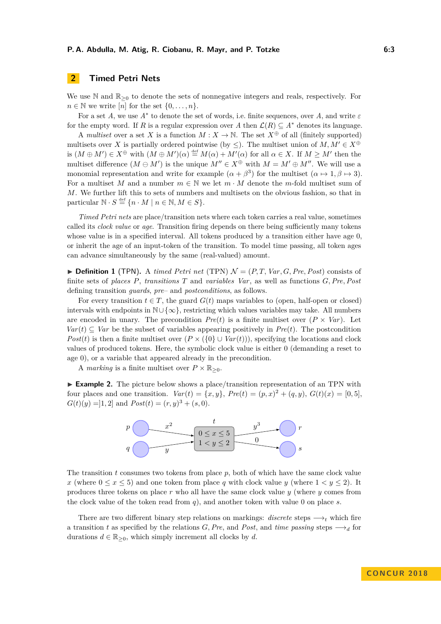# **2 Timed Petri Nets**

We use N and  $\mathbb{R}_{\geq 0}$  to denote the sets of nonnegative integers and reals, respectively. For  $n \in \mathbb{N}$  we write [*n*] for the set  $\{0, \ldots, n\}.$ 

For a set *A*, we use *A*<sup>∗</sup> to denote the set of words, i.e. finite sequences, over *A*, and write *ε* for the empty word. If *R* is a regular expression over *A* then  $\mathcal{L}(R) \subseteq A^*$  denotes its language.

A *multiset* over a set *X* is a function  $M: X \to \mathbb{N}$ . The set  $X^{\oplus}$  of all (finitely supported) multisets over *X* is partially ordered pointwise (by  $\leq$ ). The multiset union of *M, M'*  $\in X^{\oplus}$ is  $(M \oplus M') \in X^{\oplus}$  with  $(M \oplus M')(\alpha) \stackrel{\text{def}}{=} M(\alpha) + M'(\alpha)$  for all  $\alpha \in X$ . If  $M \geq M'$  then the multiset difference  $(M \ominus M')$  is the unique  $M'' \in X^{\oplus}$  with  $M = M' \oplus M''$ . We will use a monomial representation and write for example  $(\alpha + \beta^3)$  for the multiset  $(\alpha \mapsto 1, \beta \mapsto 3)$ . For a multiset *M* and a number  $m \in \mathbb{N}$  we let  $m \cdot M$  denote the *m*-fold multiset sum of *M*. We further lift this to sets of numbers and multisets on the obvious fashion, so that in particular  $\mathbb{N} \cdot S \stackrel{\text{def}}{=} \{n \cdot M \mid n \in \mathbb{N}, M \in S\}.$ 

*Timed Petri nets* are place/transition nets where each token carries a real value, sometimes called its *clock value* or *age*. Transition firing depends on there being sufficiently many tokens whose value is in a specified interval. All tokens produced by a transition either have age 0, or inherit the age of an input-token of the transition. To model time passing, all token ages can advance simultaneously by the same (real-valued) amount.

 $\triangleright$  **Definition 1** (TPN). A *timed Petri net* (TPN)  $\mathcal{N} = (P, T, Var, G, Pre, Post)$  consists of finite sets of *places P*, *transitions T* and *variables Var*, as well as functions *G,Pre,Post* defining transition *guards*, *pre*– and *postconditions*, as follows.

For every transition  $t \in T$ , the guard  $G(t)$  maps variables to (open, half-open or closed) intervals with endpoints in  $\mathbb{N}\cup\{\infty\}$ , restricting which values variables may take. All numbers are encoded in unary. The precondition  $Pre(t)$  is a finite multiset over  $(P \times Var)$ . Let  $Var(t) \subseteq Var$  be the subset of variables appearing positively in  $Pre(t)$ . The postcondition *Post*(*t*) is then a finite multiset over  $(P \times (\{0\} \cup Var(t)))$ , specifying the locations and clock values of produced tokens. Here, the symbolic clock value is either 0 (demanding a reset to age 0), or a variable that appeared already in the precondition.

A *marking* is a finite multiset over  $P \times \mathbb{R}_{\geq 0}$ .

► **Example 2.** The picture below shows a place/transition representation of an TPN with four places and one transition.  $Var(t) = \{x, y\}$ ,  $Pre(t) = (p, x)^2 + (q, y)$ ,  $G(t)(x) = [0, 5]$ ,  $G(t)(y) = ]1,2]$  and  $Post(t) = (r, y)^3 + (s, 0).$ 



The transition  $t$  consumes two tokens from place  $p$ , both of which have the same clock value *x* (where  $0 \leq x \leq 5$ ) and one token from place *q* with clock value *y* (where  $1 \leq y \leq 2$ ). It produces three tokens on place *r* who all have the same clock value *y* (where *y* comes from the clock value of the token read from *q*), and another token with value 0 on place *s*.

There are two different binary step relations on markings: *discrete* steps  $\longrightarrow_t$  which fire a transition *t* as specified by the relations *G*, *Pre*, and *Post*, and *time passing* steps  $\longrightarrow_d$  for durations  $d \in \mathbb{R}_{\geq 0}$ , which simply increment all clocks by  $d$ .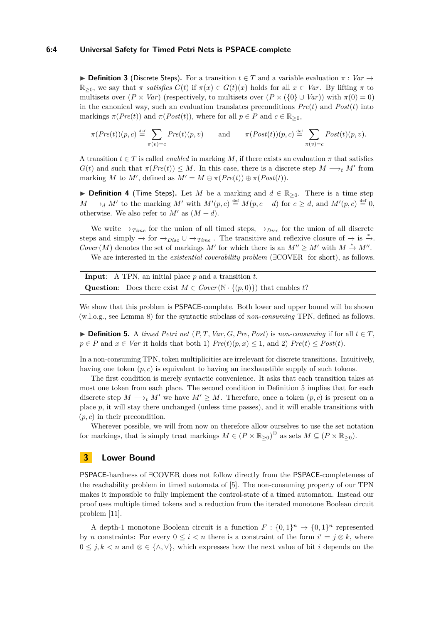#### **6:4 Universal Safety for Timed Petri Nets is PSPACE-complete**

**► Definition 3** (Discrete Steps). For a transition  $t \in T$  and a variable evaluation  $\pi : Var \rightarrow$  $\mathbb{R}_{>0}$ , we say that  $\pi$  *satisfies*  $G(t)$  if  $\pi(x) \in G(t)(x)$  holds for all  $x \in Var$ . By lifting  $\pi$  to multisets over  $(P \times Var)$  (respectively, to multisets over  $(P \times {\{0\} \cup Var)\}\$  with  $\pi(0) = 0$ ) in the canonical way, such an evaluation translates preconditions  $Pre(t)$  and  $Post(t)$  into markings  $\pi(Pre(t))$  and  $\pi(Post(t))$ , where for all  $p \in P$  and  $c \in \mathbb{R}_{\geq 0}$ ,

$$
\pi(Pre(t))(p, c) \stackrel{\text{def}}{=} \sum_{\pi(v)=c} Pre(t)(p, v) \quad \text{and} \quad \pi(Post(t))(p, c) \stackrel{\text{def}}{=} \sum_{\pi(v)=c} Post(t)(p, v).
$$

A transition  $t \in T$  is called *enabled* in marking M, if there exists an evaluation  $\pi$  that satisfies  $G(t)$  and such that  $\pi(Pre(t)) \leq M$ . In this case, there is a discrete step  $M \longrightarrow_t M'$  from marking *M* to *M'*, defined as  $M' = M \ominus \pi(Pre(t)) \oplus \pi(Post(t))$ .

**► Definition 4** (Time Steps). Let *M* be a marking and  $d \in \mathbb{R}_{\geq 0}$ . There is a time step  $M \longrightarrow_d M'$  to the marking  $M'$  with  $M'(p, c) \stackrel{\text{def}}{=} M(p, c - d)$  for  $c \geq d$ , and  $M'(p, c) \stackrel{\text{def}}{=} 0$ , otherwise. We also refer to  $M'$  as  $(M + d)$ .

We write  $\rightarrow_{Time}$  for the union of all timed steps,  $\rightarrow_{Disc}$  for the union of all discrete steps and simply  $\rightarrow$  for  $\rightarrow$ *Disc* ∪  $\rightarrow$ *Time*. The transitive and reflexive closure of  $\rightarrow$  is  $\stackrel{*}{\rightarrow}$ .  $Cover(M)$  denotes the set of markings *M'* for which there is an  $M'' \ge M'$  with  $M \stackrel{*}{\rightarrow} M''$ .

We are interested in the *existential coverability problem* (∃COVER for short), as follows.

**Input**: A TPN, an initial place *p* and a transition *t*. **Question:** Does there exist  $M \in Cover(\mathbb{N} \cdot \{(p,0)\})$  that enables *t*?

We show that this problem is PSPACE-complete. Both lower and upper bound will be shown (w.l.o.g., see [Lemma 8\)](#page-5-0) for the syntactic subclass of *non-consuming* TPN, defined as follows.

<span id="page-3-0"></span>▶ **Definition 5.** A *timed Petri net*  $(P, T, Var, G, Pre, Post)$  is *non-consuming* if for all  $t \in T$ ,  $p \in P$  and  $x \in Var$  it holds that both 1)  $Pre(t)(p, x) \leq 1$ , and 2)  $Pre(t) \leq Post(t)$ .

In a non-consuming TPN, token multiplicities are irrelevant for discrete transitions. Intuitively, having one token  $(p, c)$  is equivalent to having an inexhaustible supply of such tokens.

The first condition is merely syntactic convenience. It asks that each transition takes at most one token from each place. The second condition in [Definition 5](#page-3-0) implies that for each discrete step  $M \longrightarrow_t M'$  we have  $M' \geq M$ . Therefore, once a token  $(p, c)$  is present on a place *p*, it will stay there unchanged (unless time passes), and it will enable transitions with (*p, c*) in their precondition.

Wherever possible, we will from now on therefore allow ourselves to use the set notation for markings, that is simply treat markings  $M \in (P \times \mathbb{R}_{\geq 0})^{\oplus}$  as sets  $M \subseteq (P \times \mathbb{R}_{\geq 0})$ .

## **3 Lower Bound**

PSPACE-hardness of ∃COVER does not follow directly from the PSPACE-completeness of the reachability problem in timed automata of [\[5\]](#page-13-8). The non-consuming property of our TPN makes it impossible to fully implement the control-state of a timed automaton. Instead our proof uses multiple timed tokens and a reduction from the iterated monotone Boolean circuit problem [\[11\]](#page-13-9).

A depth-1 monotone Boolean circuit is a function  $F: \{0,1\}^n \to \{0,1\}^n$  represented by *n* constraints: For every  $0 \leq i < n$  there is a constraint of the form  $i' = j \otimes k$ , where  $0 \leq j, k < n$  and  $\otimes \in \{\wedge, \vee\}$ , which expresses how the next value of bit *i* depends on the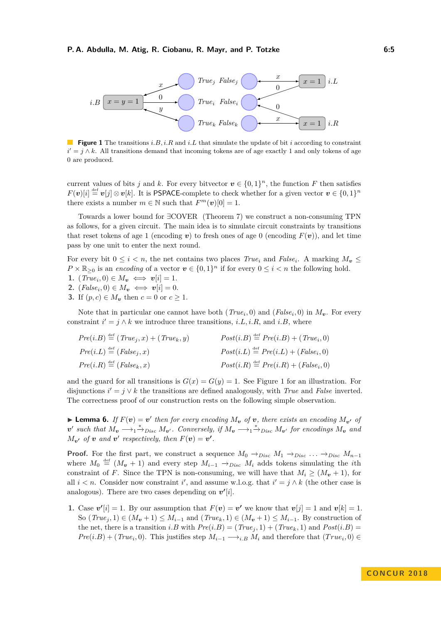<span id="page-4-0"></span>

**Figure 1** The transitions *i.B, i.R* and *i.L* that simulate the update of bit *i* according to constraint  $i' = j \wedge k$ . All transitions demand that incoming tokens are of age exactly 1 and only tokens of age 0 are produced.

current values of bits *j* and *k*. For every bitvector  $v \in \{0,1\}^n$ , the function *F* then satisfies  $F(v)[i] \stackrel{\text{def}}{=} v[j] \otimes v[k]$ . It is PSPACE-complete to check whether for a given vector  $v \in \{0,1\}^n$ there exists a number  $m \in \mathbb{N}$  such that  $F^m(\boldsymbol{v})[0] = 1$ .

Towards a lower bound for ∃COVER [\(Theorem 7\)](#page-5-1) we construct a non-consuming TPN as follows, for a given circuit. The main idea is to simulate circuit constraints by transitions that reset tokens of age 1 (encoding  $v$ ) to fresh ones of age 0 (encoding  $F(v)$ ), and let time pass by one unit to enter the next round.

For every bit  $0 \leq i < n$ , the net contains two places *True<sub>i</sub>* and *False<sub>i</sub>*. A marking  $M_{\mathbf{v}} \leq$  $P \times \mathbb{R}_{\geq 0}$  is an *encoding* of a vector  $v \in \{0,1\}^n$  if for every  $0 \leq i < n$  the following hold.

- **1.**  $(True_i, 0) \in M_v \iff v[i] = 1.$
- **2.**  $(False_i, 0) \in M_v \iff v[i] = 0.$
- **3.** If  $(p, c) \in M$ <sup>*v*</sup> then *c* = 0 or *c* ≥ 1.

Note that in particular one cannot have both  $(True<sub>i</sub>, 0)$  and  $(False<sub>i</sub>, 0)$  in  $M<sub>v</sub>$ . For every constraint  $i' = j \land k$  we introduce three transitions, *i.L, i.R,* and *i.B,* where

| $Pre(i.B) \stackrel{\text{def}}{=} (True_j, x) + (True_k, y)$ | $Post(i.B) \stackrel{\text{def}}{=} Pre(i.B) + (True_{i}, 0)$ |
|---------------------------------------------------------------|---------------------------------------------------------------|
| $Pre(i.L) \stackrel{\text{def}}{=} (False_j, x)$              | $Post(i.L) \stackrel{\text{def}}{=} Pre(i.L) + (False_i, 0)$  |
| $Pre(i.R) \stackrel{\text{def}}{=} (False_k, x)$              | $Post(i.R) \stackrel{\text{def}}{=} Pre(i.R) + (False_i, 0)$  |

and the guard for all transitions is  $G(x) = G(y) = 1$ . See [Figure 1](#page-4-0) for an illustration. For disjunctions  $i' = j \vee k$  the transitions are defined analogously, with *True* and *False* inverted. The correctness proof of our construction rests on the following simple observation.

<span id="page-4-1"></span>**Exterma 6.** If  $F(v) = v'$  then for every encoding  $M_v$  of  $v$ , there exists an encoding  $M_{v'}$  of  $v'$  such that  $M_v \longrightarrow_1^* \rightarrow_{Disc} M_{v'}$ . Conversely, if  $M_v \longrightarrow_1^* \rightarrow_{Disc} M_{v'}$  for encodings  $M_v$  and  $M_{\mathbf{v'}}$  *of v and v*' *respectively, then*  $F(\mathbf{v}) = \mathbf{v'}$ .

**Proof.** For the first part, we construct a sequence  $M_0 \rightarrow_{Disc} M_1 \rightarrow_{Disc} \ldots \rightarrow_{Disc} M_{n-1}$ where  $M_0 \stackrel{\text{def}}{=} (M_v + 1)$  and every step  $M_{i-1} \rightarrow_{Disc} M_i$  adds tokens simulating the *i*th constraint of *F*. Since the TPN is non-consuming, we will have that  $M_i \geq (M_v + 1)$ , for all  $i < n$ . Consider now constraint *i*', and assume w.l.o.g. that  $i' = j \wedge k$  (the other case is analogous). There are two cases depending on  $v'[i]$ .

**1.** Case  $v'[i] = 1$ . By our assumption that  $F(v) = v'$  we know that  $v[j] = 1$  and  $v[k] = 1$ . So  $(True_j, 1) \in (M_v + 1) \leq M_{i-1}$  and  $(True_k, 1) \in (M_v + 1) \leq M_{i-1}$ . By construction of the net, there is a transition *i.B* with  $Pre(i.B) = (True_j, 1) + (True_k, 1)$  and  $Post(i.B) =$  $Pre(i.B) + (True<sub>i</sub>, 0)$ . This justifies step  $M_{i-1} \longrightarrow_{i.B} M_i$  and therefore that  $(True<sub>i</sub>, 0) \in$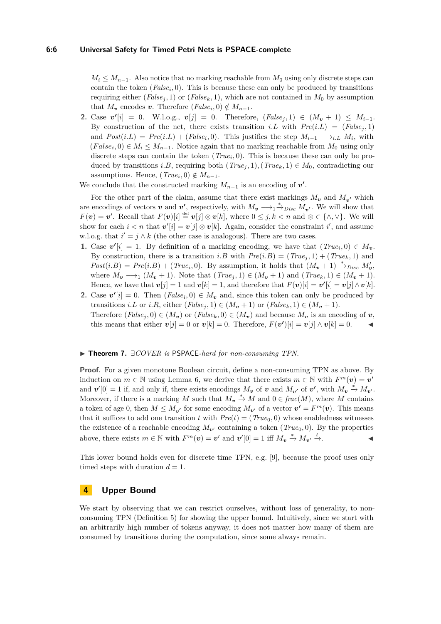$M_i \leq M_{n-1}$ . Also notice that no marking reachable from  $M_0$  using only discrete steps can contain the token  $(False_i, 0)$ . This is because these can only be produced by transitions requiring either ( $False_j$ , 1) or ( $False_k$ , 1), which are not contained in  $M_0$  by assumption that  $M_v$  encodes *v*. Therefore  $(False_i, 0) \notin M_{n-1}$ .

**2.** Case  $v'[i] = 0$ . W.l.o.g.,  $v[j] = 0$ . Therefore,  $(False_j, 1) \in (M_v + 1) \leq M_{i-1}$ . By construction of the net, there exists transition *i.L* with  $Pre(i.L) = (False<sub>i</sub>, 1)$ and  $Post(i.L) = Pre(i.L) + (False<sub>i</sub>, 0)$ . This justifies the step  $M_{i-1} \longrightarrow_{i.L} M_i$ , with  $(False_i, 0) \in M_i \leq M_{n-1}$ . Notice again that no marking reachable from  $M_0$  using only discrete steps can contain the token  $(True<sub>i</sub>, 0)$ . This is because these can only be produced by transitions *i.B*, requiring both  $(True<sub>i</sub>, 1), (True<sub>k</sub>, 1) \in M_0$ , contradicting our assumptions. Hence,  $(True<sub>i</sub>, 0) \notin M_{n-1}$ .

We conclude that the constructed marking  $M_{n-1}$  is an encoding of  $v'$ .

For the other part of the claim, assume that there exist markings  $M_{\mathbf{v}}$  and  $M_{\mathbf{v'}}$  which are encodings of vectors *v* and *v*', respectively, with  $M_v \longrightarrow_1 \stackrel{*}{\to}_{Disc} M_{v'}$ . We will show that  $F(\mathbf{v}) = \mathbf{v}'$ . Recall that  $F(\mathbf{v})[i] \stackrel{\text{def}}{=} \mathbf{v}[j] \otimes \mathbf{v}[k]$ , where  $0 \leq j, k < n$  and  $\otimes \in \{\wedge, \vee\}$ . We will show for each  $i < n$  that  $\mathbf{v}'[i] = \mathbf{v}[j] \otimes \mathbf{v}[k]$ . Again, consider the constraint  $i'$ , and assume w.l.o.g. that  $i' = j \wedge k$  (the other case is analogous). There are two cases.

- **1.** Case  $v'[i] = 1$ . By definition of a marking encoding, we have that  $(True_i, 0) \in M_v$ . By construction, there is a transition *i.B* with  $Pre(i.B) = (True<sub>i</sub>, 1) + (True<sub>k</sub>, 1)$  and  $Post(i.B) = Pre(i.B) + (True_i, 0)$ . By assumption, it holds that  $(M_v + 1) \stackrel{*}{\rightarrow} _{Disc} M'_v$ , where  $M_v \longrightarrow_1 (M_v + 1)$ . Note that  $(True_j, 1) \in (M_v + 1)$  and  $(True_k, 1) \in (M_v + 1)$ . Hence, we have that  $\mathbf{v}[j] = 1$  and  $\mathbf{v}[k] = 1$ , and therefore that  $F(\mathbf{v})[i] = \mathbf{v}'[i] = \mathbf{v}[j] \wedge \mathbf{v}[k]$ .
- **2.** Case  $v'[i] = 0$ . Then  $(False_i, 0) \in M_v$  and, since this token can only be produced by transitions *i.L* or *i.R*, either  $(False_j, 1) \in (M_v + 1)$  or  $(False_k, 1) \in (M_v + 1)$ . Therefore  $(False_j, 0) \in (M_v)$  or  $(False_k, 0) \in (M_v)$  and because  $M_v$  is an encoding of v, this means that either  $\mathbf{v}[j] = 0$  or  $\mathbf{v}[k] = 0$ . Therefore,  $F(\mathbf{v}')[i] = \mathbf{v}[j] \wedge \mathbf{v}[k] = 0$ .

#### <span id="page-5-1"></span>I **Theorem 7.** ∃*COVER is* PSPACE*-hard for non-consuming TPN.*

**Proof.** For a given monotone Boolean circuit, define a non-consuming TPN as above. By induction on  $m \in \mathbb{N}$  using [Lemma 6,](#page-4-1) we derive that there exists  $m \in \mathbb{N}$  with  $F^m(\mathbf{v}) = \mathbf{v}'$ and  $v'[0] = 1$  if, and only if, there exists encodings  $M_v$  of  $v$  and  $M_{v'}$  of  $v'$ , with  $M_v \stackrel{*}{\to} M_{v'}$ . Moreover, if there is a marking *M* such that  $M_v \stackrel{*}{\to} M$  and  $0 \in frac(M)$ , where *M* contains a token of age 0, then  $M \leq M_{\mathbf{v'}}$  for some encoding  $M_{\mathbf{v'}}$  of a vector  $\mathbf{v'} = F^m(\mathbf{v})$ . This means that it suffices to add one transition *t* with  $Pre(t) = (True_0, 0)$  whose enabledness witnesses the existence of a reachable encoding  $M_{\nu}$  containing a token (*True*<sub>0</sub>, 0). By the properties above, there exists  $m \in \mathbb{N}$  with  $F^m(\mathbf{v}) = \mathbf{v}'$  and  $\mathbf{v}'[0] = 1$  iff  $M_{\mathbf{v}} \stackrel{*}{\to} M_{\mathbf{v}'} \stackrel{t}{\to}$ .

This lower bound holds even for discrete time TPN, e.g. [\[9\]](#page-13-10), because the proof uses only timed steps with duration  $d = 1$ .

## **4 Upper Bound**

<span id="page-5-0"></span>We start by observing that we can restrict ourselves, without loss of generality, to nonconsuming TPN [\(Definition 5\)](#page-3-0) for showing the upper bound. Intuitively, since we start with an arbitrarily high number of tokens anyway, it does not matter how many of them are consumed by transitions during the computation, since some always remain.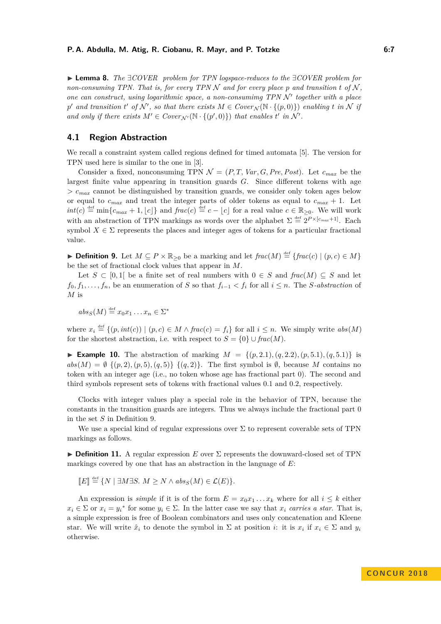I **Lemma 8.** *The* ∃*COVER problem for TPN logspace-reduces to the* ∃*COVER problem for non-consuming TPN. That is, for every TPN N and for every place p and transition t of*  $N$ , *one can construct, using logarithmic space, a non-consumimg TPN N' together with a place*  $p'$  and transition  $t'$  of  $\mathcal{N}'$ , so that there exists  $M \in Cover_{\mathcal{N}}(\mathbb{N} \cdot \{(p,0)\})$  enabling  $t$  in  $\mathcal{N}$  if *and only if there exists*  $M' \in Cover_{\mathcal{N}'}(\mathbb{N} \cdot \{(p', 0)\})$  *that enables t' in*  $\mathcal{N}'$ *.* 

## <span id="page-6-1"></span>**4.1 Region Abstraction**

We recall a constraint system called regions defined for timed automata [\[5\]](#page-13-8). The version for TPN used here is similar to the one in [\[3\]](#page-13-1).

Consider a fixed, nonconsuming TPN  $\mathcal{N} = (P, T, Var, G, Pre, Post)$ . Let  $c_{max}$  be the largest finite value appearing in transition guards *G*. Since different tokens with age  $> c_{max}$  cannot be distinguished by transition guards, we consider only token ages below or equal to  $c_{max}$  and treat the integer parts of older tokens as equal to  $c_{max} + 1$ . Let  $int(c) \stackrel{\text{def}}{=} \min\{c_{max} + 1, \lfloor c \rfloor\}$  and  $frac(c) \stackrel{\text{def}}{=} c - \lfloor c \rfloor$  for a real value  $c \in \mathbb{R}_{\geq 0}$ . We will work with an abstraction of TPN markings as words over the alphabet  $\Sigma \stackrel{\text{def}}{=} 2^{P \times [c_{max}+1]}$ . Each symbol  $X \in \Sigma$  represents the places and integer ages of tokens for a particular fractional value.

<span id="page-6-0"></span>▶ **Definition 9.** Let  $M \subseteq P \times \mathbb{R}_{\geq 0}$  be a marking and let  $frac(M) \stackrel{\text{def}}{=} \{frac(c) | (p, c) \in M \}$ be the set of fractional clock values that appear in *M*.

Let  $S \subset [0,1]$  be a finite set of real numbers with  $0 \in S$  and  $frac(M) \subseteq S$  and let *f*<sub>0</sub>*, f*<sub>1</sub>*, . . . , f<sub>n</sub></sub>, be an enumeration of <i>S* so that  $f_{i-1} < f_i$  for all  $i ≤ n$ . The *S*-abstraction of *M* is

 $abs_S(M) \stackrel{\text{def}}{=} x_0x_1 \dots x_n \in \Sigma^*$ 

where  $x_i \stackrel{\text{def}}{=} \{(p, int(c)) \mid (p, c) \in M \land frac(c) = f_i\}$  for all  $i \leq n$ . We simply write  $abs(M)$ for the shortest abstraction, i.e. with respect to  $S = \{0\} \cup \text{frac}(M)$ .

**Example 10.** The abstraction of marking  $M = \{(p, 2.1), (q, 2.2), (p, 5.1), (q, 5.1)\}$  is  $abs(M) = \emptyset \{ (p, 2), (p, 5), (q, 5) \} \{ (q, 2) \}.$  The first symbol is  $\emptyset$ , because M contains no token with an integer age (i.e., no token whose age has fractional part 0). The second and third symbols represent sets of tokens with fractional values 0*.*1 and 0*.*2, respectively.

Clocks with integer values play a special role in the behavior of TPN, because the constants in the transition guards are integers. Thus we always include the fractional part 0 in the set *S* in [Definition 9.](#page-6-0)

We use a special kind of regular expressions over  $\Sigma$  to represent coverable sets of TPN markings as follows.

**Definition 11.** A regular expression *E* over  $\Sigma$  represents the downward-closed set of TPN markings covered by one that has an abstraction in the language of *E*:

$$
\llbracket E \rrbracket \stackrel{\text{def}}{=} \{ N \mid \exists M \exists S. \ M \ge N \land abs_S(M) \in \mathcal{L}(E) \}.
$$

An expression is *simple* if it is of the form  $E = x_0 x_1 \dots x_k$  where for all  $i \leq k$  either  $x_i \in \Sigma$  or  $x_i = y_i^*$  for some  $y_i \in \Sigma$ . In the latter case we say that  $x_i$  *carries a star*. That is, a simple expression is free of Boolean combinators and uses only concatenation and Kleene star. We will write  $\hat{x}_i$  to denote the symbol in  $\Sigma$  at position *i*: it is  $x_i$  if  $x_i \in \Sigma$  and  $y_i$ otherwise.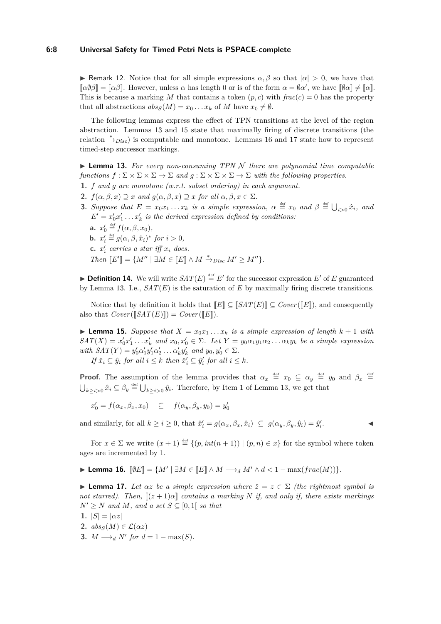#### **6:8 Universal Safety for Timed Petri Nets is PSPACE-complete**

**F** Remark 12. Notice that for all simple expressions  $\alpha, \beta$  so that  $|\alpha| > 0$ , we have that  $[\![\alpha\beta]\!] = [\![\alpha\beta]\!]$ . However, unless  $\alpha$  has length 0 or is of the form  $\alpha = \emptyset \alpha'$ , we have  $[\![\emptyset\alpha]\!] \neq [\![\alpha]\!]$ . This is because a marking M that contains a token  $(p, c)$  with  $frac(c) = 0$  has the property that all abstractions  $abs_S(M) = x_0 \dots x_k$  of M have  $x_0 \neq \emptyset$ .

The following lemmas express the effect of TPN transitions at the level of the region abstraction. [Lemmas 13](#page-7-0) and [15](#page-7-1) state that maximally firing of discrete transitions (the relation  $\stackrel{*}{\rightarrow} p_{iso}$  is computable and monotone. [Lemmas 16](#page-7-2) and [17](#page-7-3) state how to represent timed-step successor markings.

<span id="page-7-0"></span> $\triangleright$  **Lemma 13.** For every non-consuming TPN N there are polynomial time computable *functions*  $f : \Sigma \times \Sigma \times \Sigma \to \Sigma$  *and*  $g : \Sigma \times \Sigma \times \Sigma \to \Sigma$  *with the following properties.* 

- <span id="page-7-4"></span>**1.** *f and g are monotone (w.r.t. subset ordering) in each argument.*
- **2.**  $f(\alpha, \beta, x) \supseteq x$  *and*  $g(\alpha, \beta, x) \supseteq x$  *for all*  $\alpha, \beta, x \in \Sigma$ *.*
- **3.** *Suppose that*  $E = x_0 x_1 \dots x_k$  *is a simple expression,*  $\alpha \stackrel{\text{def}}{=} x_0$  *and*  $\beta \stackrel{\text{def}}{=} \bigcup_{i>0} \hat{x}_i$ *, and*  $E' = x'_0 x'_1 \dots x'_k$  *is the derived expression defined by conditions:* **a.**  $x'_0 \stackrel{\text{\tiny def}}{=} f(\alpha, \beta, x_0)$ , **b.**  $x'_i \stackrel{\text{def}}{=} g(\alpha, \beta, \hat{x}_i)^* \text{ for } i > 0,$ **c.**  $x_i'$  carries a star iff  $x_i$  does. *Then*  $[[E']] = \{M'' \mid \exists M \in [[E]] \wedge M \stackrel{*}{\to}_{Disc} M' \geq M''\}.$

<span id="page-7-5"></span>**Definition 14.** We will write  $SAT(E) \stackrel{\text{def}}{=} E'$  for the successor expression  $E'$  of  $E$  guaranteed by [Lemma 13.](#page-7-0) I.e.,  $SAT(E)$  is the saturation of  $E$  by maximally firing discrete transitions.

Notice that by definition it holds that  $[[E]] \subseteq [SAT(E)] \subseteq Cover([\![E]\!])$ , and consequently also that  $Cover(\llbracket SAT(E) \rrbracket) = Cover(\llbracket E \rrbracket).$ 

<span id="page-7-1"></span>**I Lemma 15.** *Suppose that*  $X = x_0x_1 \ldots x_k$  *is a simple expression of length*  $k + 1$  *with*  $SAT(X) = x'_0x'_1...x'_k$  and  $x_0, x'_0 \in \Sigma$ . Let  $Y = y_0\alpha_1y_1\alpha_2... \alpha_ky_k$  be a simple expression  $with$   $SAT(Y) = y'_0 \alpha'_1 y'_1 \alpha'_2 \dots \alpha'_k y'_k$  and  $y_0, y'_0 \in \Sigma$ .

*If*  $\hat{x}_i \subseteq \hat{y}_i$  *for all*  $i \leq k$  *then*  $\hat{x}'_i \subseteq \hat{y}'_i$  *for all*  $i \leq k$ *.* 

**Proof.** The assumption of the lemma provides that  $\alpha_x \stackrel{\text{def}}{=} x_0 \subseteq \alpha_y \stackrel{\text{def}}{=} y_0$  and  $\beta_x \stackrel{\text{def}}{=}$  $\bigcup_{k\geq i>0} \hat{x}_i \subseteq \beta_y \stackrel{\text{def}}{=} \bigcup_{k\geq i>0} \hat{y}_i$ . Therefore, by [Item 1](#page-7-4) of [Lemma 13,](#page-7-0) we get that

$$
x'_0 = f(\alpha_x, \beta_x, x_0) \quad \subseteq \quad f(\alpha_y, \beta_y, y_0) = y'_0
$$

and similarly, for all  $k \geq i \geq 0$ , that  $\hat{x}'_i = g(\alpha_x, \beta_x, \hat{x}_i) \subseteq g(\alpha_y, \beta_y, \hat{y}_i) = \hat{y}'_i$ 

*.* J

For  $x \in \Sigma$  we write  $(x + 1) \stackrel{\text{def}}{=} \{(p, int(n + 1)) \mid (p, n) \in x\}$  for the symbol where token ages are incremented by 1.

<span id="page-7-2"></span>
$$
\blacktriangleright \textbf{ Lemma 16. } [\![\emptyset E]\!] = \{M' \mid \exists M \in [\![E]\!] \wedge M \longrightarrow_d M' \wedge d < 1 - \max(frac(M))\}.
$$

<span id="page-7-3"></span>**Lemma 17.** Let  $\alpha z$  be a simple expression where  $\hat{z} = z \in \Sigma$  (the rightmost symbol is *not starred). Then,*  $[(z+1)\alpha]$  *contains a marking N if, and only if, there exists markings*  $N' \geq N$  *and M, and a set*  $S \subseteq [0,1]$  *so that* 

- **1.**  $|S| = |\alpha z|$
- **2.**  $abs_S(M) \in \mathcal{L}(\alpha z)$
- **3.**  $M \longrightarrow_{d} N'$  for  $d = 1 \max(S)$ .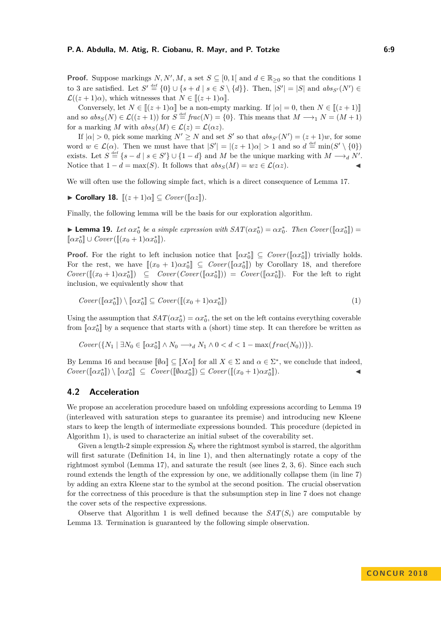**Proof.** Suppose markings  $N, N', M$ , a set  $S \subseteq [0,1]$  and  $d \in \mathbb{R}_{\geq 0}$  so that the conditions 1 to 3 are satisfied. Let  $S' \stackrel{\text{def}}{=} \{0\} \cup \{s + d \mid s \in S \setminus \{d\}\}\$ . Then,  $|S'| = |S|$  and  $abs_{S'}(N') \in$  $\mathcal{L}((z+1)\alpha)$ , which witnesses that  $N \in [(z+1)\alpha]$ .

Conversely, let  $N \in [(z+1)\alpha]$  be a non-empty marking. If  $|\alpha| = 0$ , then  $N \in [(z+1)]$ and so  $abs_S(N) \in \mathcal{L}((z+1))$  for  $S \stackrel{\text{def}}{=} frac(N) = \{0\}$ . This means that  $M \longrightarrow_1 N = (M+1)$ for a marking *M* with  $abs_S(M) \in \mathcal{L}(z) = \mathcal{L}(\alpha z)$ .

If  $|\alpha| > 0$ , pick some marking  $N' \geq N$  and set S' so that  $abs_{S'}(N') = (z + 1)w$ , for some word  $w \in \mathcal{L}(\alpha)$ . Then we must have that  $|S'| = |(z+1)\alpha| > 1$  and so  $d \stackrel{\text{def}}{=} \min(S' \setminus \{0\})$ exists. Let  $S \stackrel{\text{def}}{=} \{s - d \mid s \in S'\} \cup \{1 - d\}$  and M be the unique marking with  $M \longrightarrow_d N'$ . Notice that  $1 - d = \max(S)$ . It follows that  $abs_S(M) = wz \in \mathcal{L}(\alpha z)$ .

<span id="page-8-0"></span>We will often use the following simple fact, which is a direct consequence of [Lemma 17.](#page-7-3)

 $\blacktriangleright$  **Corollary 18.**  $[(z+1)\alpha] \subseteq Cover([\![\alpha z]\!])$ *.* 

<span id="page-8-1"></span>Finally, the following lemma will be the basis for our exploration algorithm.

**• Lemma 19.** *Let*  $\alpha x_0^*$  *be a simple expression with*  $SAT(\alpha x_0^*) = \alpha x_0^*$ *. Then*  $Cover([\alpha x_0^*]) =$  $[\![\alpha x_0^*]\!] \cup Cover([\![(x_0+1)\alpha x_0^*]\!]).$ 

**Proof.** For the right to left inclusion notice that  $[\alpha x_0^*] \subseteq Cover([\alpha x_0^*])$  trivially holds. For the rest, we have  $[(x_0 + 1)\alpha x_0^*] \subseteq Cover([\alpha x_0^*])$  by [Corollary 18,](#page-8-0) and therefore  $Cover([\![(x_0+1)\alpha x_0^*]]\!] ) \subseteq Cover(Cover([\![\alpha x_0^*]\!])) = Cover([\![\alpha x_0^*]\!]).$  For the left to right inclusion, we equivalently show that

$$
Cover([\![\alpha x_0^*]\!]) \setminus [\![\alpha x_0^*]\!] \subseteq Cover([\![(x_0+1)\alpha x_0^*]\!])
$$
\n<sup>(1)</sup>

Using the assumption that  $SAT(\alpha x_0^*) = \alpha x_0^*$ , the set on the left contains everything coverable from  $[\![\alpha x^*_0]\!]$  by a sequence that starts with a (short) time step. It can therefore be written as

$$
Cover({N_1 \mid \exists N_0 \in [\![ \alpha x_0^* ]\!] \land N_0 \longrightarrow_d N_1 \land 0 < d < 1 - \max(frac(N_0)) \} ).
$$

By [Lemma 16](#page-7-2) and because  $[\![\emptyset \alpha]\!] \subseteq [\![X \alpha]\!]$  for all  $X \in \Sigma$  and  $\alpha \in \Sigma^*$ , we conclude that indeed,  $Cover([\![\alpha x_0^*]\!]) \setminus [\![\alpha x_0^*]\!] \subseteq Cover([\![\emptyset \alpha x_0^*]\!]) \subseteq Cover([\![(x_0+1)\alpha x_0^*$  $\parallel$ ).

## **4.2 Acceleration**

We propose an acceleration procedure based on unfolding expressions according to [Lemma 19](#page-8-1) (interleaved with saturation steps to guarantee its premise) and introducing new Kleene stars to keep the length of intermediate expressions bounded. This procedure (depicted in [Algorithm 1\)](#page-9-0), is used to characterize an initial subset of the coverability set.

Given a length-2 simple expression  $S_0$  where the rightmost symbol is starred, the algorithm will first saturate [\(Definition 14,](#page-7-5) in line 1), and then alternatingly rotate a copy of the rightmost symbol [\(Lemma 17\)](#page-7-3), and saturate the result (see lines 2, 3, 6). Since each such round extends the length of the expression by one, we additionally collapse them (in line 7) by adding an extra Kleene star to the symbol at the second position. The crucial observation for the correctness of this procedure is that the subsumption step in line 7 does not change the cover sets of the respective expressions.

<span id="page-8-2"></span>Observe that [Algorithm 1](#page-9-0) is well defined because the  $SAT(S_i)$  are computable by [Lemma 13.](#page-7-0) Termination is guaranteed by the following simple observation.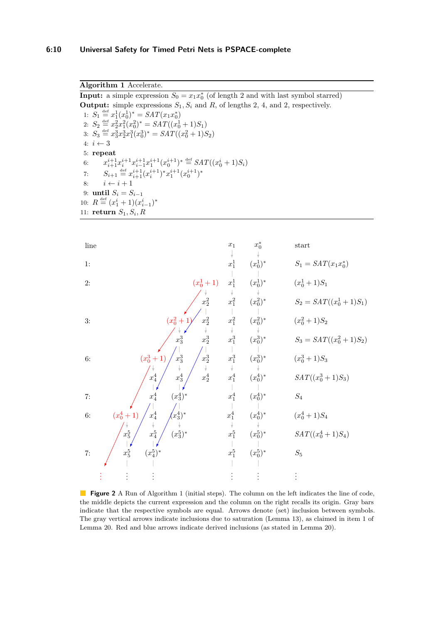<span id="page-9-0"></span>**Output:** simple expressions  $S_1, S_i$  and  $R$ , of lengths 2, 4, and 2, respectively. 1:  $S_1 \stackrel{\text{def}}{=} x_1^1(x_0^1)^* = SAT(x_1x_0^*)$ 2:  $S_2 \stackrel{\text{def}}{=} x_2^2 x_1^2 (x_0^2)^* = SAT((x_0^1 + 1)S_1)$ 3:  $S_3 \stackrel{\text{def}}{=} x_3^3 x_2^3 x_1^3 (x_0^3)^* = SAT((x_0^2 + 1)S_2)$ 4:  $i \leftarrow 3$ 5: **repeat** 6:  $x_{i+1}^{i+1}x_i^{i+1}x_{i-1}^{i+1}x_1^{i+1}(x_0^{i+1})^* \stackrel{\text{def}}{=} SAT((x_0^i + 1)S_i)$ 7:  $S_{i+1} \stackrel{\text{def}}{=} x_{i+1}^{i+1} (x_i^{i+1})^* x_1^{i+1} (x_0^{i+1})^*$ 8:  $i \leftarrow i + 1$ 9: **until**  $S_i = S_{i-1}$ 10:  $R \stackrel{\text{def}}{=} (x_1^i + 1)(x_{i-1}^i)^*$ 11: **return**  $S_1, S_i, R$ 

<span id="page-9-1"></span>

**Figure 2** A Run of [Algorithm 1](#page-9-0) (initial steps). The column on the left indicates the line of code, the middle depicts the current expression and the column on the right recalls its origin. Gray bars indicate that the respective symbols are equal. Arrows denote (set) inclusion between symbols. The gray vertical arrows indicate inclusions due to saturation [\(Lemma 13\)](#page-7-0), as claimed in item 1 of [Lemma 20.](#page-8-2) Red and blue arrows indicate derived inclusions (as stated in [Lemma 20\)](#page-8-2).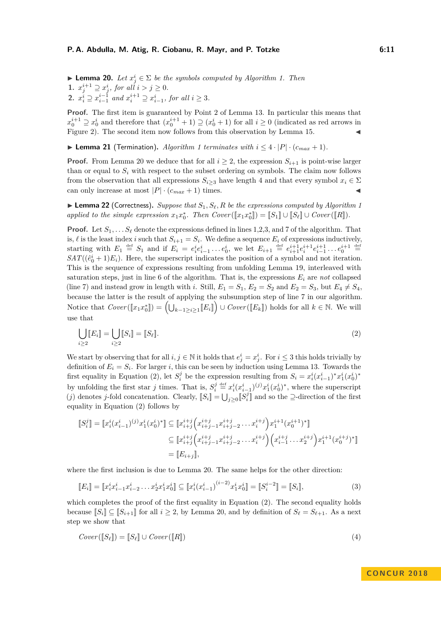► **Lemma 20.** *Let*  $x_j^i$  ∈  $\Sigma$  *be the symbols computed by [Algorithm 1.](#page-9-0) Then* **1.**  $x_j^{i+1} \supseteq x_j^i$ , for all  $i > j \ge 0$ . **2.**  $x_i^i \supseteq x_{i-1}^{i-1}$  and  $x_i^{i+1} \supseteq x_{i-1}^i$ , for all  $i \geq 3$ .

**Proof.** The first item is guaranteed by Point 2 of [Lemma 13.](#page-7-0) In particular this means that  $x_0^{i+1} \supseteq x_0^i$  and therefore that  $(x_0^{i+1} + 1) \supseteq (x_0^i + 1)$  for all  $i \geq 0$  (indicated as red arrows in [Figure 2\)](#page-9-1). The second item now follows from this observation by [Lemma 15.](#page-7-1)

▶ **Lemma 21** (Termination). *[Algorithm 1](#page-9-0) terminates with*  $i \leq 4 \cdot |P| \cdot (c_{max} + 1)$ *.* 

**Proof.** From [Lemma 20](#page-8-2) we deduce that for all  $i \geq 2$ , the expression  $S_{i+1}$  is point-wise larger than or equal to  $S_i$  with respect to the subset ordering on symbols. The claim now follows from the observation that all expressions  $S_{i>3}$  have length 4 and that every symbol  $x_i \in \Sigma$ can only increase at most  $|P| \cdot (c_{max} + 1)$  times.

<span id="page-10-2"></span> $\blacktriangleright$  **Lemma 22** (Correctness). *Suppose that*  $S_1$ ,  $S_\ell$ ,  $R$  *be the expressions computed by [Algorithm 1](#page-9-0) applied to the simple expression*  $x_1x_0^*$ . Then  $Cover([\![x_1x_0^*]\!]) = [\![S_1]\!] \cup [\![S_\ell]\!] \cup Cover([\![R]\!])$ .

**Proof.** Let  $S_1, \ldots, S_\ell$  denote the expressions defined in lines 1,2,3, and 7 of the algorithm. That is,  $\ell$  is the least index *i* such that  $S_{i+1} = S_i$ . We define a sequence  $E_i$  of expressions inductively, starting with  $E_1 \stackrel{\text{def}}{=} S_1$  and if  $E_i = e_i^i e_{i-1}^i \dots e_0^i$ , we let  $E_{i+1} \stackrel{\text{def}}{=} e_{i+1}^{i+1} e_i^{i+1} e_{i-1}^{i+1} \dots e_0^{i+1} \stackrel{\text{def}}{=}$  $SAT((\hat{e}_0^i + 1)E_i)$ . Here, the superscript indicates the position of a symbol and not iteration. This is the sequence of expressions resulting from unfolding [Lemma 19,](#page-8-1) interleaved with saturation steps, just in line 6 of the algorithm. That is, the expressions  $E_i$  are *not* collapsed (line 7) and instead grow in length with *i*. Still,  $E_1 = S_1$ ,  $E_2 = S_2$  and  $E_2 = S_3$ , but  $E_4 \neq S_4$ , because the latter is the result of applying the subsumption step of line 7 in our algorithm. Notice that  $Cover([\![x_1 x_0^*]\!]) = (\bigcup_{k-1 \geq i \geq 1} [\![E_i]\!]) \cup Cover([\![E_k]\!])$  holds for all  $k \in \mathbb{N}$ . We will use that

<span id="page-10-0"></span>
$$
\bigcup_{i\geq 2} [E_i] = \bigcup_{i\geq 2} [S_i] = [S_\ell].
$$
\n(2)

We start by observing that for all  $i, j \in \mathbb{N}$  it holds that  $e^i_j = x^i_j$ . For  $i \leq 3$  this holds trivially by definition of  $E_i = S_i$ . For larger *i*, this can be seen by induction using [Lemma 13.](#page-7-0) Towards the first equality in [Equation \(2\),](#page-10-0) let  $S_i^j$  be the expression resulting from  $S_i = x_i^i (x_{i-1}^i)^* x_1^i (x_0^i)^*$ by unfolding the first star *j* times. That is,  $S_i^j \stackrel{\text{def}}{=} x_i^i (x_{i-1}^i)^{(j)} x_1^i (x_0^i)^*$ , where the superscript (*j*) denotes *j*-fold concatenation. Clearly,  $[[S_i]] = \bigcup_{j\geq 0} [[S_i^j]]$  and so the  $\supseteq$ -direction of the first equality in [Equation \(2\)](#page-10-0) follows by

$$
\begin{aligned} [\![S_i^j]\!] &= [\![x_i^i(x_{i-1}^i)^{(j)}x_1^i(x_0^i)^*]\!] \subseteq [\![x_{i+j}^{i+j}\left(x_{i+j-1}^{i+j}x_{i+j-2}^{i+j}\ldots x_i^{i+j}\right)x_1^{i+1}(x_0^{i+1})^*]\!] \\ & \subseteq [\![x_{i+j}^{i+j}\left(x_{i+j-1}^{i+j}x_{i+j-2}^{i+j}\ldots x_i^{i+j}\right)\left(x_{i-1}^{i+j}\ldots x_2^{i+j}\right)x_1^{i+1}(x_0^{i+j})^*]\!] \\ &= [\![E_{i+j}]\!], \end{aligned}
$$

where the first inclusion is due to [Lemma 20.](#page-8-2) The same helps for the other direction:

$$
\llbracket E_i \rrbracket = \llbracket x_i^i x_{i-1}^i x_{i-2}^i \dots x_2^i x_1^i x_0^i \rrbracket \subseteq \llbracket x_i^i (x_{i-1}^i)^{(i-2)} x_1^i x_0^i \rrbracket = \llbracket S_i^{i-2} \rrbracket = \llbracket S_i \rrbracket, \tag{3}
$$

which completes the proof of the first equality in [Equation \(2\).](#page-10-0) The second equality holds because  $[S_i] \subseteq [S_{i+1}]$  for all  $i \geq 2$ , by [Lemma 20,](#page-8-2) and by definition of  $S_\ell = S_{\ell+1}$ . As a next step we show that

<span id="page-10-1"></span>
$$
Cover(\llbracket S_{\ell} \rrbracket) = \llbracket S_{\ell} \rrbracket \cup Cover(\llbracket R \rrbracket) \tag{4}
$$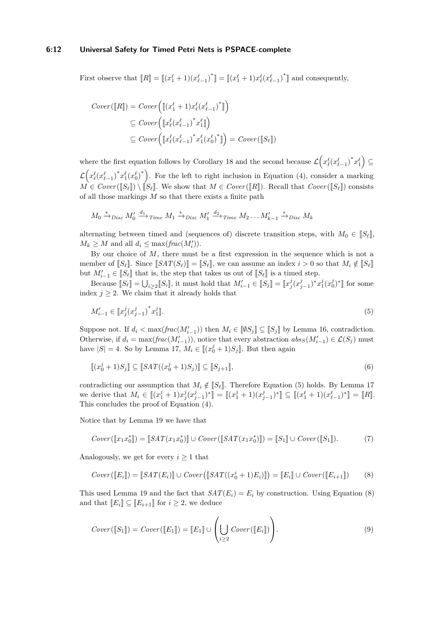#### **6:12 Universal Safety for Timed Petri Nets is PSPACE-complete**

First observe that  $[[R]] = [[(x_1^{\ell} + 1)(x_{\ell-1}^{\ell})^*]] = [[(x_1^{\ell} + 1)x_{\ell}^{\ell}(x_{\ell-1}^{\ell})^*]]$  and consequently,

$$
Cover([\![R]\!]) = Cover([\![x_1^{\ell} + 1)x_{\ell}^{\ell}(x_{\ell-1}^{\ell})^*]\!])
$$
  
\n
$$
\subseteq Cover([\![x_{\ell}^{\ell}(x_{\ell-1}^{\ell})^*x_1^{\ell}]\!])
$$
  
\n
$$
\subseteq Cover([\![x_{\ell}^{\ell}(x_{\ell-1}^{\ell})^*x_1^{\ell}(x_0^{\ell})^*]\!]) = Cover([\![S_{\ell}]\!])
$$

where the first equation follows by [Corollary 18](#page-8-0) and the second because  $\mathcal{L}(x_{\ell}^{\ell}(x_{\ell-1}^{\ell})^*x_1^{\ell}) \subseteq$  $\mathcal{L} \Big( x^{\ell}_{\ell} (x^{\ell}_{\ell-1})^* x^{\ell}_1 (x^{\ell}_0)^* \Big)$ . For the left to right inclusion in [Equation \(4\),](#page-10-1) consider a marking  $M \in Cover(\llbracket S_\ell \rrbracket) \setminus \llbracket S_\ell \rrbracket$ . We show that  $M \in Cover(\llbracket R \rrbracket)$ . Recall that  $Cover(\llbracket S_\ell \rrbracket)$  consists of all those markings *M* so that there exists a finite path

$$
M_0 \xrightarrow{*} \text{Disc } M'_0 \xrightarrow{d_1} \text{Time } M_1 \xrightarrow{*} \text{Disc } M'_1 \xrightarrow{d_2} \text{Time } M_2 \dots M'_{k-1} \xrightarrow{*} \text{Disc } M_k
$$

alternating between timed and (sequences of) discrete transition steps, with  $M_0 \in \llbracket S_\ell \rrbracket$ ,  $M_k \geq M$  and all  $d_i \leq \max(\text{frac}(M_i')).$ 

By our choice of *M*, there must be a first expression in the sequence which is not a member of  $[[S_\ell]]$ . Since  $[[SAT(S_\ell)]] = [[S_\ell]],$  we can assume an index  $i > 0$  so that  $M_i \notin [[S_\ell]]$ but  $M'_{i-1} \in [S_\ell]$  that is, the step that takes us out of  $[S_\ell]$  is a timed step.

Because  $[[S_\ell]] = \bigcup_{i \geq 2} [[S_i]]$ , it must hold that  $M'_{i-1} \in [[S_j]] = [[x^j_j(x^j_{j-1})^*x^j_1(x^j_0)^*]]$  for some index  $j \geq 2$ . We claim that it already holds that

<span id="page-11-0"></span>
$$
M'_{i-1} \in \llbracket x_j^j (x_{j-1}^j)^* x_1^j \rrbracket. \tag{5}
$$

Suppose not. If  $d_i < \max(frac(M'_{i-1}))$  then  $M_i \in [\![\emptyset S_j]\!] \subseteq [S_j]\!]$  by [Lemma 16,](#page-7-2) contradiction. Otherwise, if  $d_i = \max(frac(M'_{i-1}))$ , notice that every abstraction  $abs_S(M'_{i-1}) \in \mathcal{L}(S_j)$  must have  $|S| = 4$ . So by [Lemma 17,](#page-7-3)  $M_i \in [[(x_0^j + 1)S_j]]$ . But then again

$$
\llbracket (x_0^j + 1)S_j \rrbracket \subseteq \llbracket SAT((x_0^j + 1)S_j) \rrbracket \subseteq \llbracket S_{j+1} \rrbracket,\tag{6}
$$

contradicting our assumption that  $M_i \notin \llbracket S_\ell \rrbracket$ . Therefore [Equation \(5\)](#page-11-0) holds. By [Lemma 17](#page-7-3) we derive that  $M_i \in [[(x_1^j + 1)x_j^j(x_{j-1}^j)^*]] = [[(x_1^j + 1)(x_{j-1}^j)^*]] \subseteq [[(x_1^{\ell} + 1)(x_{\ell-1}^{\ell})^*]] = [R]$ . This concludes the proof of [Equation \(4\).](#page-10-1)

Notice that by [Lemma 19](#page-8-1) we have that

<span id="page-11-2"></span>
$$
Cover([\![x_1x_0^*]\!]) = [\![SAT(x_1x_0^*)]\!] \cup Cover([\![SAT(x_1x_0^*)]\!]) = [\![S_1]\!] \cup Cover([\![S_1]\!]).
$$
 (7)

Analogously, we get for every  $i \geq 1$  that

<span id="page-11-1"></span>
$$
Cover([\![E_i]\!]) = [\![SAT(E_i)]\!] \cup Cover([\![SAT((x_0^i + 1)E_i)]\!]) = [\![E_i]\!] \cup Cover([\![E_{i+1}]\!])
$$
 (8)

This used [Lemma 19](#page-8-1) and the fact that  $SAT(E_i) = E_i$  by construction. Using [Equation \(8\)](#page-11-1) and that  $[[E_i]] \subseteq [[E_{i+1}]]$  for  $i \geq 2$ , we deduce

<span id="page-11-3"></span>
$$
Cover([\![S_1]\!]) = Cover([\![E_1]\!]) = [\![E_1]\!] \cup \left(\bigcup_{i \geq 2} Cover([\![E_i]\!])\right).
$$
\n(9)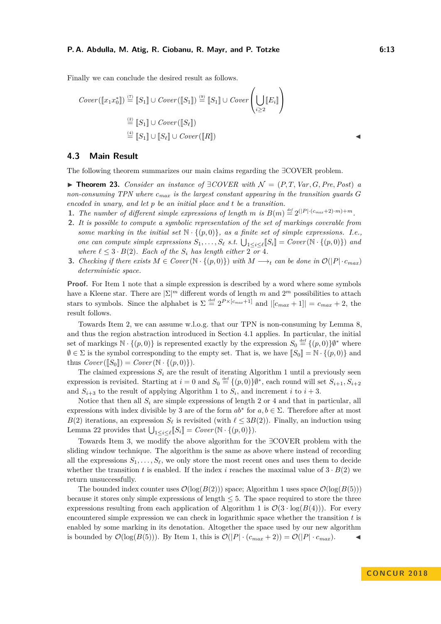Finally we can conclude the desired result as follows.

$$
Cover([\![x_1x_0^*]\!] ) \stackrel{(7)}{=} [\![S_1]\!] \cup Cover([\![S_1]\!]) \stackrel{(9)}{=} [\![S_1]\!] \cup Cover([\![S_{\ell}]\!])
$$
  

$$
\stackrel{(2)}{=} [\![S_1]\!] \cup Cover([\![S_{\ell}]\!])
$$
  

$$
\stackrel{(4)}{=} [\![S_1]\!] \cup [\![S_{\ell}]\!] \cup Cover([\![R]\!])
$$

## **4.3 Main Result**

The following theorem summarizes our main claims regarding the ∃COVER problem.

<span id="page-12-3"></span>**► Theorem 23.** *Consider an instance of*  $\exists$  *COVER with*  $\mathcal{N} = (P, T, Var, G, Pre, Post)$  *a non-consuming TPN where cmax is the largest constant appearing in the transition guards G encoded in unary, and let p be an initial place and t be a transition.*

- <span id="page-12-0"></span>**1.** The number of different simple expressions of length *m* is  $B(m) \stackrel{\text{def}}{=} 2^{(|P| \cdot (c_{max}+2) \cdot m) + m}$ .
- <span id="page-12-1"></span>**2.** *It is possible to compute a symbolic representation of the set of markings coverable from some marking in the initial set*  $\mathbb{N} \cdot \{(p, 0)\}\$ *, as a finite set of simple expressions. I.e., one can compute simple expressions*  $S_1, \ldots, S_\ell$  *s.t.*  $\bigcup_{1 \leq i \leq \ell} [S_i] = Cover(\mathbb{N} \cdot \{(p, 0)\})$  *and where*  $\ell \leq 3 \cdot B(2)$ *. Each of the*  $S_i$  *has length either*  $2 \overline{\sigma}$ *r* 4*.*
- <span id="page-12-2"></span>**3.** *Checking if there exists*  $M \in Cover(\mathbb{N} \cdot \{(p,0)\})$  *with*  $M \rightarrow t$  *can be done in*  $\mathcal{O}(|P| \cdot c_{max})$ *deterministic space.*

**Proof.** For [Item 1](#page-12-0) note that a simple expression is described by a word where some symbols have a Kleene star. There are  $|\Sigma|^m$  different words of length m and  $2^m$  possibilities to attach stars to symbols. Since the alphabet is  $\Sigma \stackrel{\text{def}}{=} 2^{P \times [c_{max}+1]}$  and  $|[c_{max}+1]| = c_{max} + 2$ , the result follows.

Towards [Item 2,](#page-12-1) we can assume w.l.o.g. that our TPN is non-consuming by [Lemma 8,](#page-5-0) and thus the region abstraction introduced in [Section 4.1](#page-6-1) applies. In particular, the initial set of markings  $\mathbb{N} \cdot \{(p, 0)\}\$ is represented exactly by the expression  $S_0 \stackrel{\text{def}}{=} \{(p, 0)\}\$ <sup>\*</sup> where  $\emptyset \in \Sigma$  is the symbol corresponding to the empty set. That is, we have  $[[S_0]] = \mathbb{N} \cdot \{(p, 0)\}\$ and thus  $Cover(\llbracket S_0 \rrbracket) = Cover(\mathbb{N} \cdot \{(p, 0)\}).$ 

The claimed expressions  $S_i$  are the result of iterating [Algorithm 1](#page-9-0) until a previously seen expression is revisited. Starting at  $i = 0$  and  $S_0 \stackrel{\text{def}}{=} \{(p, 0)\}\emptyset^*$ , each round will set  $S_{i+1}, S_{i+2}$ and  $S_{i+3}$  to the result of applying [Algorithm 1](#page-9-0) to  $S_i$ , and increment *i* to  $i+3$ .

Notice that then all  $S_i$  are simple expressions of length 2 or 4 and that in particular, all expressions with index divisible by 3 are of the form  $ab^*$  for  $a, b \in \Sigma$ . Therefore after at most *B*(2) iterations, an expression  $S_\ell$  is revisited (with  $\ell \leq 3B(2)$ ). Finally, an induction using [Lemma 22](#page-10-2) provides that  $\bigcup_{1 \leq i \leq \ell} [S_i] = Cover(\mathbb{N} \cdot \{(p, 0)\}).$ 

Towards [Item 3,](#page-12-2) we modify the above algorithm for the ∃COVER problem with the sliding window technique. The algorithm is the same as above where instead of recording all the expressions  $S_1, \ldots, S_\ell$ , we only store the most recent ones and uses them to decide whether the transition *t* is enabled. If the index *i* reaches the maximal value of  $3 \cdot B(2)$  we return unsuccessfully.

The bounded index counter uses  $\mathcal{O}(\log(B(2)))$  space; [Algorithm 1](#page-9-0) uses space  $\mathcal{O}(\log(B(5)))$ because it stores only simple expressions of length  $\leq 5$ . The space required to store the three expressions resulting from each application of [Algorithm 1](#page-9-0) is  $\mathcal{O}(3 \cdot \log(B(4)))$ . For every encountered simple expression we can check in logarithmic space whether the transition *t* is enabled by some marking in its denotation. Altogether the space used by our new algorithm is bounded by  $\mathcal{O}(\log(B(5)))$ . By [Item 1,](#page-12-0) this is  $\mathcal{O}(|P| \cdot (c_{max} + 2)) = \mathcal{O}(|P| \cdot c_{max})$ .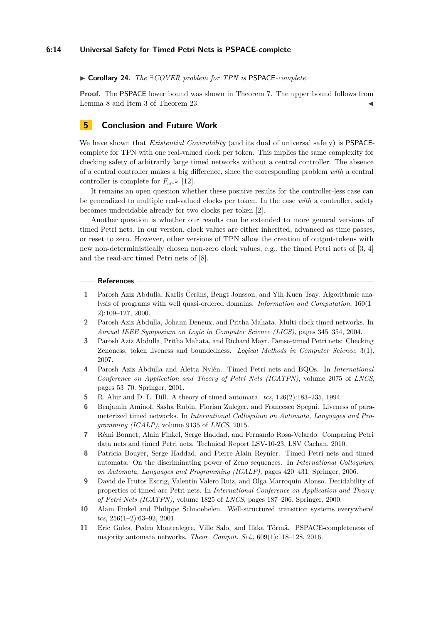I **Corollary 24.** *The* ∃*COVER problem for TPN is* PSPACE*-complete.*

**Proof.** The PSPACE lower bound was shown in [Theorem 7.](#page-5-1) The upper bound follows from [Lemma 8](#page-5-0) and [Item 3](#page-12-2) of [Theorem 23.](#page-12-3)

## **5 Conclusion and Future Work**

We have shown that *Existential Coverability* (and its dual of universal safety) is PSPACEcomplete for TPN with one real-valued clock per token. This implies the same complexity for checking safety of arbitrarily large timed networks without a central controller. The absence of a central controller makes a big difference, since the corresponding problem *with* a central controller is complete for  $F_{\omega^{\omega^{\omega}}}$  [\[12\]](#page-14-4).

It remains an open question whether these positive results for the controller-less case can be generalized to multiple real-valued clocks per token. In the case *with* a controller, safety becomes undecidable already for two clocks per token [\[2\]](#page-13-6).

Another question is whether our results can be extended to more general versions of timed Petri nets. In our version, clock values are either inherited, advanced as time passes, or reset to zero. However, other versions of TPN allow the creation of output-tokens with new non-deterministically chosen non-zero clock values, e.g., the timed Petri nets of [\[3,](#page-13-1) [4\]](#page-13-0) and the read-arc timed Petri nets of [\[8\]](#page-13-2).

#### **References**

- <span id="page-13-3"></span>**1** Parosh Aziz Abdulla, Karlis Čerāns, Bengt Jonsson, and Yih-Kuen Tsay. Algorithmic analysis of programs with well quasi-ordered domains. *Information and Computation*, 160(1– 2):109–127, 2000.
- <span id="page-13-6"></span>**2** Parosh Aziz Abdulla, Johann Deneux, and Pritha Mahata. Multi-clock timed networks. In *Annual IEEE Symposium on Logic in Computer Science (LICS)*, pages 345–354, 2004.
- <span id="page-13-1"></span>**3** Parosh Aziz Abdulla, Pritha Mahata, and Richard Mayr. Dense-timed Petri nets: Checking Zenoness, token liveness and boundedness. *Logical Methods in Computer Science*, 3(1), 2007.
- <span id="page-13-0"></span>**4** Parosh Aziz Abdulla and Aletta Nylén. Timed Petri nets and BQOs. In *International Conference on Application and Theory of Petri Nets (ICATPN)*, volume 2075 of *LNCS*, pages 53–70. Springer, 2001.
- <span id="page-13-8"></span>**5** R. Alur and D. L. Dill. A theory of timed automata. *tcs*, 126(2):183–235, 1994.
- <span id="page-13-7"></span>**6** Benjamin Aminof, Sasha Rubin, Florian Zuleger, and Francesco Spegni. Liveness of parameterized timed networks. In *International Colloquium on Automata, Languages and Programming (ICALP)*, volume 9135 of *LNCS*, 2015.
- <span id="page-13-5"></span>**7** Rémi Bonnet, Alain Finkel, Serge Haddad, and Fernando Rosa-Velardo. Comparing Petri data nets and timed Petri nets. Technical Report LSV-10-23, LSV Cachan, 2010.
- <span id="page-13-2"></span>**8** Patricia Bouyer, Serge Haddad, and Pierre-Alain Reynier. Timed Petri nets and timed automata: On the discriminating power of Zeno sequences. In *International Colloquium on Automata, Languages and Programming (ICALP)*, pages 420–431. Springer, 2006.
- <span id="page-13-10"></span>**9** David de Frutos Escrig, Valentín Valero Ruiz, and Olga Marroquín Alonso. Decidability of properties of timed-arc Petri nets. In *International Conference on Application and Theory of Petri Nets (ICATPN)*, volume 1825 of *LNCS*, pages 187–206. Springer, 2000.
- <span id="page-13-4"></span>**10** Alain Finkel and Philippe Schnoebelen. Well-structured transition systems everywhere! *tcs*, 256(1–2):63–92, 2001.
- <span id="page-13-9"></span>**11** Eric Goles, Pedro Montealegre, Ville Salo, and Ilkka Törmä. PSPACE-completeness of majority automata networks. *Theor. Comput. Sci.*, 609(1):118–128, 2016.